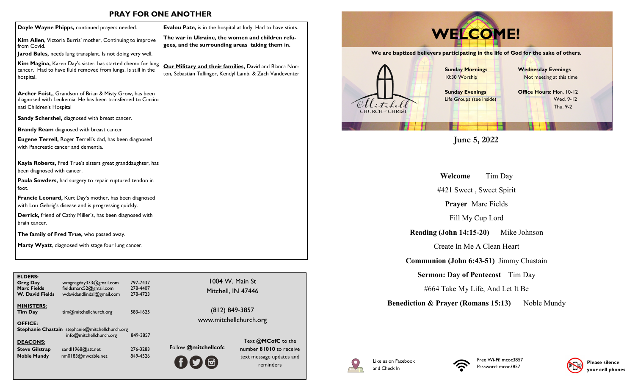### **PRAY FOR ONE ANOTHER**

**Kim Allen**, Victoria Burris' mother, Continuing to improve from Covid.

**Jarod Bales,** needs lung transplant. Is not doing very well.

**Kim Magina,** Karen Day's sister, has started chemo for lung cancer. Had to have fluid removed from lungs. Is still in the hospital.

**Archer Foist**,**,** Grandson of Brian & Misty Grow, has been diagnosed with Leukemia. He has been transferred to Cincinnati Children's Hospital

**Sandy Schershel,** diagnosed with breast cancer.

**Brandy Ream** diagnosed with breast cancer

**Eugene Terrell,** Roger Terrell's dad, has been diagnosed with Pancreatic cancer and dementia.

**Kayla Roberts,** Fred True's sisters great granddaughter, has been diagnosed with cancer.

**Paula Sowders,** had surgery to repair ruptured tendon in foot.

**Francie Leonard,** Kurt Day's mother, has been diagnosed with Lou Gehrig's disease and is progressing quickly.

**Derrick,** friend of Cathy Miller's, has been diagnosed with brain cancer.

**The family of Fred True,** who passed away.

**Marty Wyatt**, diagnosed with stage four lung cancer.

| <b>ELDERS:</b><br><b>Greg Day</b><br><b>Marc Fields</b><br><b>W. David Fields</b> | wmgregday333@gmail.com<br>fieldsmarc52@gmail.com<br>wdavidandlindal@gmail.com     | 797-7437<br>278-4407<br>278-4723 |        |
|-----------------------------------------------------------------------------------|-----------------------------------------------------------------------------------|----------------------------------|--------|
| <b>MINISTERS:</b><br><b>Tim Day</b>                                               | tim@mitchellchurch.org                                                            | 583-1625                         |        |
| <b>OFFICE:</b>                                                                    | <b>Stephanie Chastain</b> stephanie@mitchellchurch.org<br>info@mitchellchurch.org | 849-3857                         |        |
| <b>DEACONS:</b>                                                                   |                                                                                   |                                  | Follow |
| <b>Steve Gilstrap</b><br><b>Noble Mundy</b>                                       | sandl1968@att.net<br>nm0183@nwcable.net                                           | 276-3283<br>849-4526             |        |
|                                                                                   |                                                                                   |                                  |        |

1004 W. Main St Mitchell, IN 47446

**Evalou Pate,** is in the hospital at Indy. Had to have stints. **The war in Ukraine, the women and children refugees, and the surrounding areas taking them in.**

**Our Military and their families,** David and Blanca Norton, Sebastian Taflinger, Kendyl Lamb, & Zach Vandeventer

> (812) 849-3857 www.mitchellchurch.org

@mitchellcofc

Text **@MCofC** to the number **81010** to receive text message updates and reminders



**June 5, 2022**

**Welcome** Tim Day

#421 Sweet , Sweet Spirit

**Prayer** Marc Fields

Fill My Cup Lord

**Reading (John 14:15-20)** Mike Johnson

Create In Me A Clean Heart

**Communion (John 6:43-51)** Jimmy Chastain

**Sermon: Day of Pentecost** Tim Day

#664 Take My Life, And Let It Be

**Benediction & Prayer (Romans 15:13)** Noble Mundy